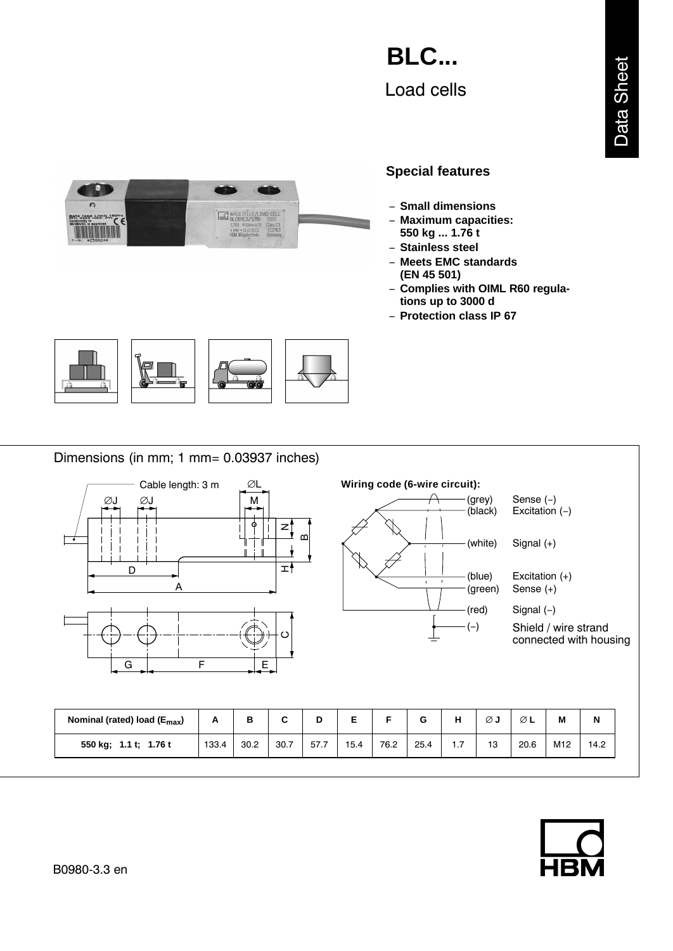# Load cells **BLC...**

#### n  $\overline{r}$ **HEM BLCB1C3/176t** 2000 **Example 1984**<br>Informity to approved CCC Class C<sub>3</sub><br>TC2163<br>Germany **The Community**  $v \text{ min} = 0.010\%$

## **Special features**

- − **Small dimensions**
- − **Maximum capacities:**
- **550 kg ... 1.76 t** − **Stainless steel**
- − **Meets EMC standards (EN 45 501)**
- − **Complies with OIML R60 regulations up to 3000 d**
- − **Protection class IP 67**



Dimensions (in mm; 1 mm= 0.03937 inches)